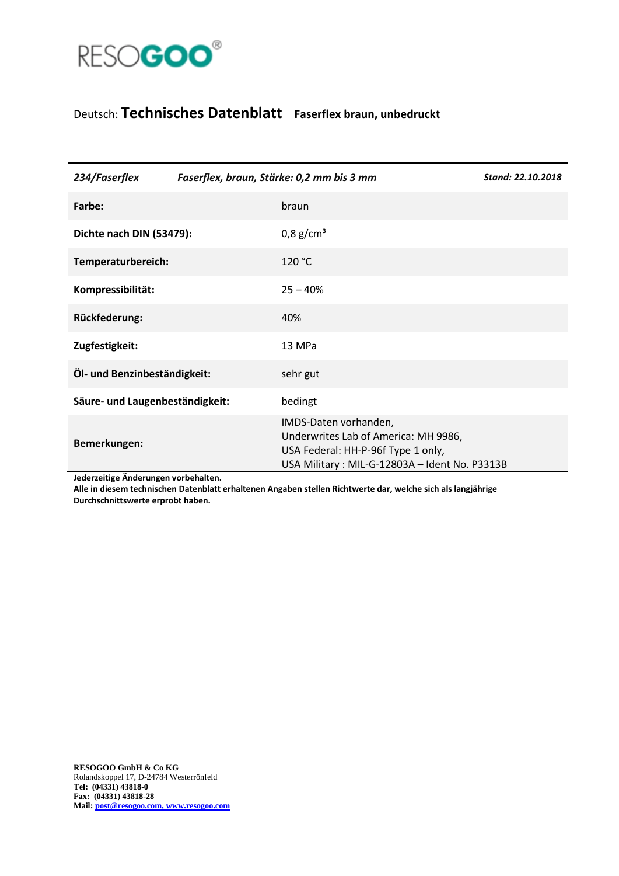

## Deutsch: **Technisches Datenblatt Faserflex braun, unbedruckt**

| 234/Faserflex                   | Faserflex, braun, Stärke: 0,2 mm bis 3 mm |                                                                                                                                                      | Stand: 22.10.2018 |
|---------------------------------|-------------------------------------------|------------------------------------------------------------------------------------------------------------------------------------------------------|-------------------|
| Farbe:                          |                                           | braun                                                                                                                                                |                   |
| Dichte nach DIN (53479):        |                                           | $0.8$ g/cm <sup>3</sup>                                                                                                                              |                   |
| Temperaturbereich:              |                                           | 120 °C                                                                                                                                               |                   |
| Kompressibilität:               |                                           | $25 - 40%$                                                                                                                                           |                   |
| Rückfederung:                   |                                           | 40%                                                                                                                                                  |                   |
| Zugfestigkeit:                  |                                           | 13 MPa                                                                                                                                               |                   |
| Öl- und Benzinbeständigkeit:    |                                           | sehr gut                                                                                                                                             |                   |
| Säure- und Laugenbeständigkeit: |                                           | bedingt                                                                                                                                              |                   |
| Bemerkungen:                    |                                           | IMDS-Daten vorhanden,<br>Underwrites Lab of America: MH 9986,<br>USA Federal: HH-P-96f Type 1 only,<br>USA Military: MIL-G-12803A - Ident No. P3313B |                   |

**Jederzeitige Änderungen vorbehalten.**

**Alle in diesem technischen Datenblatt erhaltenen Angaben stellen Richtwerte dar, welche sich als langjährige Durchschnittswerte erprobt haben.**